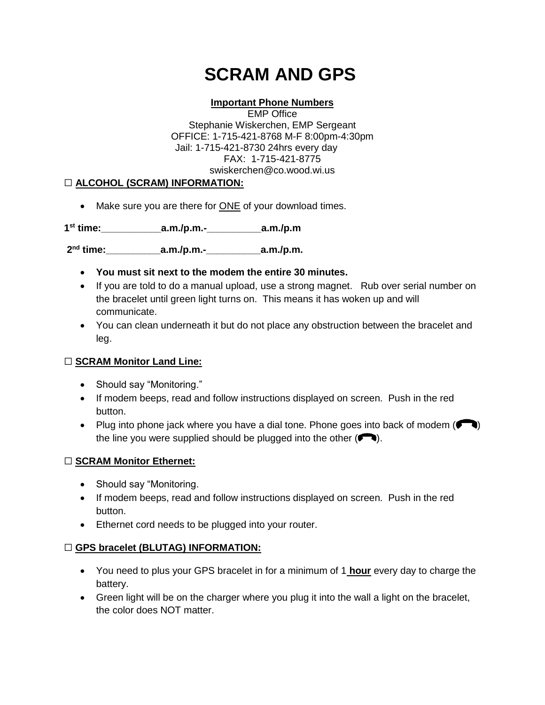# **SCRAM AND GPS**

#### **Important Phone Numbers**

EMP Office Stephanie Wiskerchen, EMP Sergeant OFFICE: 1-715-421-8768 M-F 8:00pm-4:30pm Jail: 1-715-421-8730 24hrs every day FAX: 1-715-421-8775 swiskerchen@co.wood.wi.us

#### ☐ **ALCOHOL (SCRAM) INFORMATION:**

• Make sure you are there for ONE of your download times.

**1 st time:\_\_\_\_\_\_\_\_\_\_\_a.m./p.m.-\_\_\_\_\_\_\_\_\_\_a.m./p.m** 

**2 nd time:\_\_\_\_\_\_\_\_\_\_a.m./p.m.-\_\_\_\_\_\_\_\_\_\_a.m./p.m.**

- **You must sit next to the modem the entire 30 minutes.**
- If you are told to do a manual upload, use a strong magnet. Rub over serial number on the bracelet until green light turns on. This means it has woken up and will communicate.
- You can clean underneath it but do not place any obstruction between the bracelet and leg.

#### ☐ **SCRAM Monitor Land Line:**

- Should say "Monitoring."
- If modem beeps, read and follow instructions displayed on screen. Push in the red button.
- Plug into phone jack where you have a dial tone. Phone goes into back of modem  $($ the line you were supplied should be plugged into the other  $( \bullet \bullet)$ .

#### ☐ **SCRAM Monitor Ethernet:**

- Should say "Monitoring.
- If modem beeps, read and follow instructions displayed on screen. Push in the red button.
- **Ethernet cord needs to be plugged into your router.**

#### ☐ **GPS bracelet (BLUTAG) INFORMATION:**

- You need to plus your GPS bracelet in for a minimum of 1 **hour** every day to charge the battery.
- Green light will be on the charger where you plug it into the wall a light on the bracelet, the color does NOT matter.